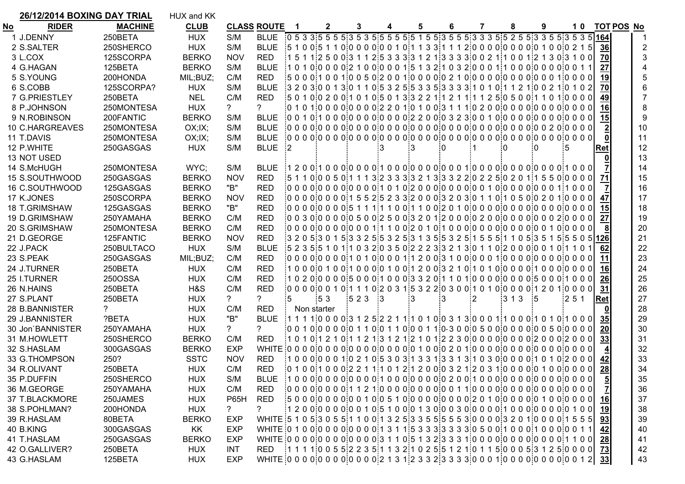| No<br><b>CLUB</b><br><b>RIDER</b><br><b>MACHINE</b> | S/M            | <b>CLASS ROUTE</b> |                                                                                                                                                                                                                                     | $\mathbf{2}$ | 3    | 4   | 5  |               |   |    | 8    | 9   |     |    |                 |                   |    |
|-----------------------------------------------------|----------------|--------------------|-------------------------------------------------------------------------------------------------------------------------------------------------------------------------------------------------------------------------------------|--------------|------|-----|----|---------------|---|----|------|-----|-----|----|-----------------|-------------------|----|
|                                                     |                |                    |                                                                                                                                                                                                                                     |              |      |     |    |               | 6 | 7  |      |     |     | 10 |                 | <b>TOT POS No</b> |    |
| <b>HUX</b><br>1 J.DENNY<br>250BETA                  |                | <b>BLUE</b>        | $\frac{1}{2}0\ 5\ 3\ 3\ 5\ 5\ 5\ 5\ 5\ 3\ 5\ 5\ 5\ 5\ 5\ 5\ 5\ 1\ 5\ 5\ 5\ 3\ 5\ 5\ 5\ 3\ 3\ 3\ 5\ 5\ 5\ 3\ 3\ 5\ 5\ 5\ 3\ 5\ 3\ 5\ 1$                                                                                              |              |      |     |    |               |   |    |      |     |     |    |                 |                   |    |
| <b>HUX</b><br>2 S.SALTER<br>250SHERCO               | S/M            | <b>BLUE</b>        | $\frac{1}{2}$ 5 1 0 0 5 1 1 0 0 0 0 0 0 0 0 0 1 0 1 1 3 3 1 1 1 2 0 0 0 0 0 0 0 0 0 0 1 0 0 0 2 1 5                                                                                                                                 |              |      |     |    |               |   |    |      |     |     |    | 36              |                   |    |
| 3 L.COX<br>125SCORPA<br><b>BERKO</b>                | <b>NOV</b>     | <b>RED</b>         | $15112500331125333331213333002111001212130100$                                                                                                                                                                                      |              |      |     |    |               |   |    |      |     |     |    | 70              |                   | 3  |
| 4 G.HAGAN<br>125BETA<br><b>BERKO</b>                | S/M            | <b>BLUE</b>        | $\frac{1}{2}$ 1 0 1 0 $\frac{1}{2}$ 0 0 0 0 $\frac{1}{2}$ 1 0 0 $\frac{1}{2}$ 0 0 0 1 $\frac{1}{2}$ 5 1 3 2 $\frac{1}{2}$ 1 0 3 2 $\frac{1}{2}$ 0 0 0 1 $\frac{1}{2}$ 1 0 0 0 $\frac{1}{2}$ 0 0 0 0 $\frac{1}{2}$ 0 0 0 0 0 0 0 1 1 |              |      |     |    |               |   |    |      |     |     |    | 27              |                   |    |
| 5 S.YOUNG<br>200HONDA<br>MIL;BUZ;                   | C/M            | <b>RED</b>         | $\frac{1}{2}$ 5 0 0 0 $\frac{1}{2}$ 1 0 0 1 $\frac{1}{2}$ 0 0 5 0 $\frac{1}{2}$ 0 0 1 $\frac{1}{2}$ 0 0 0 0 $\frac{1}{2}$ 0 2 1 0 $\frac{1}{2}$ 0 0 0 $\frac{1}{2}$ 0 0 0 0 0 0 0 0 0 0 1 $\frac{1}{2}$ 0 0 0 0 0                   |              |      |     |    |               |   |    |      |     |     |    |                 |                   |    |
| 6 S.COBB<br>125SCORPA?<br><b>HUX</b>                | S/M            | <b>BLUE</b>        | $\frac{1}{2}$ 3 2 0 3 0 0 1 3 0 1 1 0 5 3 2 5 5 3 3 5 3 3 3 3 1 0 1 0 1 1 2 1 0 0 2 1 0 1 0 2                                                                                                                                       |              |      |     |    |               |   |    |      |     |     |    | 70              |                   |    |
| 7 G.PRIESTLEY<br>250BETA<br><b>NEL</b>              | C/M            | <b>RED</b>         | $\frac{1}{2}$ 5 0 1 0 0 2 0 0 $\frac{1}{2}$ 0 1 0 1 0 5 0 1 3 3 2 2 1 1 2 1 1 1 1 2 5 0 5 0 0 1 1 0 1 0 0 0 0                                                                                                                       |              |      |     |    |               |   |    |      |     |     |    | 49              |                   |    |
| 8 P.JOHNSON<br>250MONTESA<br><b>HUX</b>             | ?              | ?                  |                                                                                                                                                                                                                                     |              |      |     |    |               |   |    |      |     |     |    | 16              |                   |    |
| 9 N.ROBINSON<br>200FANTIC<br><b>BERKO</b>           | S/M            | <b>BLUE</b>        |                                                                                                                                                                                                                                     |              |      |     |    |               |   |    |      |     |     |    | 15              |                   | 9  |
| 250MONTESA<br>OX; IX;<br>10 C.HARGREAVES            | S/M            | <b>BLUE</b>        |                                                                                                                                                                                                                                     |              |      |     |    |               |   |    |      |     |     |    |                 |                   | 10 |
| 250MONTESA<br>11 T.DAVIS<br>OX; IX;                 | S/M            | <b>BLUE</b>        |                                                                                                                                                                                                                                     |              |      |     |    |               |   |    |      |     |     |    |                 |                   | 11 |
| 12 P.WHITE<br>250GASGAS<br><b>HUX</b>               | S/M            | <b>BLUE</b>        | $\cdot$ 2                                                                                                                                                                                                                           |              |      |     |    | ÷Ω            |   |    | -0   |     | :5  |    | Ret             |                   | 12 |
| 13 NOT USED                                         |                |                    |                                                                                                                                                                                                                                     |              |      |     |    |               |   |    |      |     |     |    |                 |                   | 13 |
| WYC;<br>14 S.McHUGH<br>250MONTESA                   | S/M            |                    |                                                                                                                                                                                                                                     |              |      |     |    |               |   |    |      |     |     |    |                 |                   | 14 |
| 15 S.SOUTHWOOD<br>250GASGAS<br><b>BERKO</b>         | <b>NOV</b>     | <b>RED</b>         | $\frac{1}{2}$ 5 1 1 0 0 0 5 0 1 1 1 3 $\frac{1}{2}$ 3 3 3 3 2 1 3 3 3 2 2 3 0 2 2 5 0 2 0 1 1 5 5 0 0 0 0 0 0                                                                                                                       |              |      |     |    |               |   |    |      |     |     |    |                 |                   | 15 |
| 16 C.SOUTHWOOD<br>125GASGAS<br><b>BERKO</b>         | "B"            | <b>RED</b>         |                                                                                                                                                                                                                                     |              |      |     |    |               |   |    |      |     |     |    |                 |                   | 16 |
| 17 K.JONES<br>250SCORPA<br><b>BERKO</b>             | <b>NOV</b>     | <b>RED</b>         | $\frac{1}{2}0000000000015525233200003203301100105002010000$                                                                                                                                                                         |              |      |     |    |               |   |    |      |     |     |    |                 |                   | 17 |
| 18 T.GRIMSHAW<br>125GASGAS<br><b>BERKO</b>          | "B"            | <b>RED</b>         |                                                                                                                                                                                                                                     |              |      |     |    |               |   |    |      |     |     |    | 15              |                   | 18 |
| <b>BERKO</b><br>19 D.GRIMSHAW<br>250YAMAHA          | C/M            | <b>RED</b>         |                                                                                                                                                                                                                                     |              |      |     |    |               |   |    |      |     |     |    | 27              |                   | 19 |
| <b>BERKO</b><br>20 S.GRIMSHAW<br>250MONTESA         | C/M            | <b>RED</b>         |                                                                                                                                                                                                                                     |              |      |     |    |               |   |    |      |     |     |    |                 |                   | 20 |
| 21 D.GEORGE<br><b>BERKO</b><br>125FANTIC            | <b>NOV</b>     | <b>RED</b>         |                                                                                                                                                                                                                                     |              |      |     |    |               |   |    |      |     |     |    |                 |                   | 21 |
| 22 J.PACK<br>250BULTACO<br><b>HUX</b>               | S/M            | <b>BLUE</b>        | $\frac{1}{2}$ 5 2 3 5 5 1 0 1 1 0 3 2 0 3 5 0 $\frac{1}{2}$ 2 2 3 3 2 1 3 0 1 1 0 $\frac{1}{2}$ 0 0 0 0 0 1 0 1 1 0 $\frac{1}{2}$                                                                                                   |              |      |     |    |               |   |    |      |     |     |    | 62              |                   | 22 |
| 23 S.PEAK<br>250GASGAS<br>MIL;BUZ;                  | C/M            | <b>RED</b>         |                                                                                                                                                                                                                                     |              |      |     |    |               |   |    |      |     |     |    |                 |                   | 23 |
| 250BETA<br><b>HUX</b><br>24 J.TURNER                | C/M            | <b>RED</b>         |                                                                                                                                                                                                                                     |              |      |     |    |               |   |    |      |     |     |    | 16              |                   | 24 |
| 250OSSA<br><b>HUX</b><br>25 I.TURNER                | C/M            | <b>RED</b>         | $102000000005000100003320110010000000000500010000$                                                                                                                                                                                  |              |      |     |    |               |   |    |      |     |     |    | 26              |                   | 25 |
| 26 N.HAINS<br>250BETA<br>H&S                        | C/M            | <b>RED</b>         | $1000000001011101203153220300101010000012010000$                                                                                                                                                                                    |              |      |     |    |               |   |    |      |     |     |    | 31              |                   | 26 |
| 27 S.PLANT<br>250BETA<br><b>HUX</b>                 | ?              | 2                  | :5                                                                                                                                                                                                                                  | .53          | :523 | - 3 | -3 | $\mathbf{13}$ |   | -2 | :313 | - 5 | 251 |    | Ret             |                   | 27 |
| 28 B.BANNISTER<br>?<br><b>HUX</b>                   | C/M            | <b>RED</b>         | Non starter                                                                                                                                                                                                                         |              |      |     |    |               |   |    |      |     |     |    |                 |                   | 28 |
| 29 J.BANNISTER<br>?BETA<br><b>HUX</b>               | "B"            | <b>BLUE</b>        |                                                                                                                                                                                                                                     |              |      |     |    |               |   |    |      |     |     |    | 35 <sub>l</sub> |                   | 29 |
| 30 Jon'BANNISTER<br>250YAMAHA<br><b>HUX</b>         | $\overline{?}$ | ?                  |                                                                                                                                                                                                                                     |              |      |     |    |               |   |    |      |     |     |    | 20              |                   | 30 |
| 31 M.HOWLETT<br>250SHERCO<br><b>BERKO</b>           | C/M            | <b>RED</b>         | $\frac{1}{2}$ 1 0 1 0 1 2 1 0 1 1 2 1 $\frac{1}{2}$ 1 2 1 $\frac{1}{2}$ 1 0 1 $\frac{1}{2}$ 2 3 0 0 0 0 0 0 0 0 0 0 0 2 0 0 0 2 0 0 0                                                                                               |              |      |     |    |               |   |    |      |     |     |    | 33              |                   | 31 |
| 32 S.HASLAM<br>300GASGAS<br><b>BERKO</b>            | <b>EXP</b>     |                    | WHITE:0 0 0 0:0 0 0 0:0 0 0 0:0 0 0 0:0 1 0 0:0 2 0 1:0 0 0 0:0 0 0 0:0 0 0 0:0 0 0 0                                                                                                                                               |              |      |     |    |               |   |    |      |     |     |    |                 |                   | 32 |
| <b>SSTC</b><br>33 G.THOMPSON<br>250?                | <b>NOV</b>     | <b>RED</b>         | $10000000102105303133133131030000110102000$                                                                                                                                                                                         |              |      |     |    |               |   |    |      |     |     |    |                 |                   | 33 |
| <b>HUX</b><br>34 R.OLIVANT<br>250BETA               | C/M            | RED                | $[0 1 0 0]$ 1 0 0 0 $[2 2 1 1]$ 1 0 1 2 $[1 2 0 0]$ 0 3 2 1 $[2 0 3 1]$ 0 0 0 0 $[0 1 0 0]$ 0 0 0 0                                                                                                                                 |              |      |     |    |               |   |    |      |     |     |    | 28              |                   | 34 |
| 35 P.DUFFIN<br>250SHERCO<br><b>HUX</b>              | S/M            |                    |                                                                                                                                                                                                                                     |              |      |     |    |               |   |    |      |     |     |    | $rac{5}{7}$     |                   | 35 |
| <b>HUX</b><br>36 M.GEORGE<br>250YAMAHA              | C/M            | <b>RED</b>         |                                                                                                                                                                                                                                     |              |      |     |    |               |   |    |      |     |     |    |                 |                   | 36 |
| 250JAMES<br><b>HUX</b><br>37 T.BLACKMORE            | <b>P65H</b>    | <b>RED</b>         |                                                                                                                                                                                                                                     |              |      |     |    |               |   |    |      |     |     |    | <u>16</u>       |                   | 37 |
| 38 S.POHLMAN?<br>200HONDA<br><b>HUX</b>             | ?              | ?                  |                                                                                                                                                                                                                                     |              |      |     |    |               |   |    |      |     |     |    | <u>19</u>       |                   | 38 |
| 80BETA<br><b>BERKO</b><br>39 R.HASLAM               | <b>EXP</b>     |                    | WHITE: 5 1 0 5:3 0 5 5:1 1 0 0:1 3 2 5:3 3 5 5:5 5 5 3:0 0 0 0:3 2 0 1:0 0 0 0:1 5 5 5                                                                                                                                              |              |      |     |    |               |   |    |      |     |     |    | 93              |                   | 39 |
| KK<br>40 B.KING<br>300GASGAS                        | <b>EXP</b>     |                    | WHITE:0 1 0 0:0 0 0 0:0 0 0 0:1 3 1 1:5 3 3 3:3 3 3 3:0 5 0 0:1 0 0 0:1 0 0 0:0 0 1 1                                                                                                                                               |              |      |     |    |               |   |    |      |     |     |    | 42              |                   | 40 |
| 250GASGAS<br><b>BERKO</b><br>41 T.HASLAM            | <b>EXP</b>     |                    | WHITE:0 0 0 0:0 0 0 0:0 0 0 0:3 1 1 0:5 1 3 2:3 3 3 1:0 0 0 0:0 0 0 0:0 0 0 0:1 1 0 0                                                                                                                                               |              |      |     |    |               |   |    |      |     |     |    | 28              |                   | 41 |
| 42 O.GALLIVER?<br>250BETA<br><b>HUX</b>             | <b>INT</b>     |                    | RED 1 1 1 1 1 1 1 0 0 5 5 2 2 3 5 1 1 3 2 1 0 2 5 5 1 2 1 0 1 1 5 0 0 0 5 3 1 2 5 0 0 0 0 73                                                                                                                                        |              |      |     |    |               |   |    |      |     |     |    |                 |                   | 42 |
| <b>HUX</b><br>43 G.HASLAM<br>125BETA                | <b>EXP</b>     |                    | WHITE:0 0 0 0 0 0 0 0 0 0 0 0 0 0 2 1 3 1 2 3 3 2 3 3 3 3 0 0 0 1 0 0 0 0 0 0 0 0 0 0 0 1 2 33                                                                                                                                      |              |      |     |    |               |   |    |      |     |     |    |                 |                   | 43 |